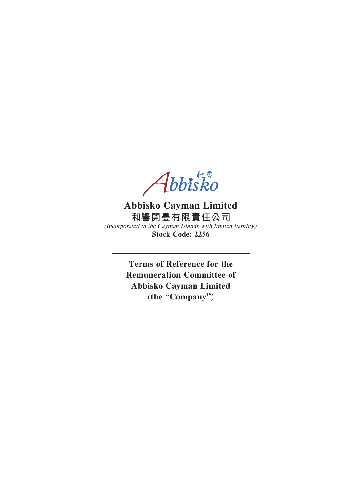Abbisko

# **Abbisko Cayman Limited 和譽開曼有限責任公司** (Incorporated in the Cayman Islands with limited liability) **Stock Code: 2256**

**Terms of Reference for the Remuneration Committee of Abbisko Cayman Limited (the "Company")**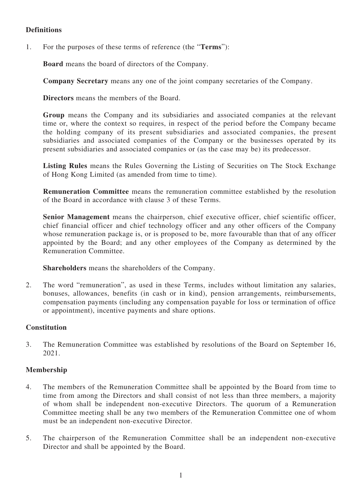## **Definitions**

1. For the purposes of these terms of reference (the "**Terms**"):

**Board** means the board of directors of the Company.

**Company Secretary** means any one of the joint company secretaries of the Company.

**Directors** means the members of the Board.

**Group** means the Company and its subsidiaries and associated companies at the relevant time or, where the context so requires, in respect of the period before the Company became the holding company of its present subsidiaries and associated companies, the present subsidiaries and associated companies of the Company or the businesses operated by its present subsidiaries and associated companies or (as the case may be) its predecessor.

**Listing Rules** means the Rules Governing the Listing of Securities on The Stock Exchange of Hong Kong Limited (as amended from time to time).

**Remuneration Committee** means the remuneration committee established by the resolution of the Board in accordance with clause 3 of these Terms.

**Senior Management** means the chairperson, chief executive officer, chief scientific officer, chief financial officer and chief technology officer and any other officers of the Company whose remuneration package is, or is proposed to be, more favourable than that of any officer appointed by the Board; and any other employees of the Company as determined by the Remuneration Committee.

**Shareholders** means the shareholders of the Company.

2. The word "remuneration", as used in these Terms, includes without limitation any salaries, bonuses, allowances, benefits (in cash or in kind), pension arrangements, reimbursements, compensation payments (including any compensation payable for loss or termination of office or appointment), incentive payments and share options.

## **Constitution**

3. The Remuneration Committee was established by resolutions of the Board on September 16, 2021.

## **Membership**

- 4. The members of the Remuneration Committee shall be appointed by the Board from time to time from among the Directors and shall consist of not less than three members, a majority of whom shall be independent non-executive Directors. The quorum of a Remuneration Committee meeting shall be any two members of the Remuneration Committee one of whom must be an independent non-executive Director.
- 5. The chairperson of the Remuneration Committee shall be an independent non-executive Director and shall be appointed by the Board.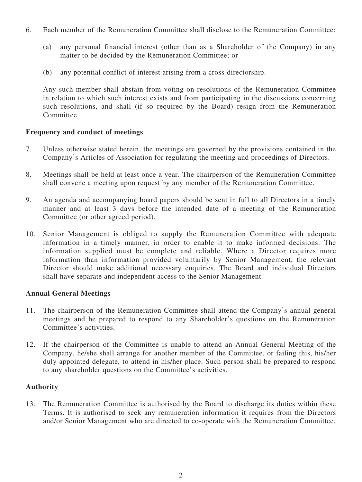- 6. Each member of the Remuneration Committee shall disclose to the Remuneration Committee:
	- (a) any personal financial interest (other than as a Shareholder of the Company) in any matter to be decided by the Remuneration Committee; or
	- (b) any potential conflict of interest arising from a cross-directorship.

Any such member shall abstain from voting on resolutions of the Remuneration Committee in relation to which such interest exists and from participating in the discussions concerning such resolutions, and shall (if so required by the Board) resign from the Remuneration Committee.

#### **Frequency and conduct of meetings**

- 7. Unless otherwise stated herein, the meetings are governed by the provisions contained in the Company's Articles of Association for regulating the meeting and proceedings of Directors.
- 8. Meetings shall be held at least once a year. The chairperson of the Remuneration Committee shall convene a meeting upon request by any member of the Remuneration Committee.
- 9. An agenda and accompanying board papers should be sent in full to all Directors in a timely manner and at least 3 days before the intended date of a meeting of the Remuneration Committee (or other agreed period).
- 10. Senior Management is obliged to supply the Remuneration Committee with adequate information in a timely manner, in order to enable it to make informed decisions. The information supplied must be complete and reliable. Where a Director requires more information than information provided voluntarily by Senior Management, the relevant Director should make additional necessary enquiries. The Board and individual Directors shall have separate and independent access to the Senior Management.

## **Annual General Meetings**

- 11. The chairperson of the Remuneration Committee shall attend the Company's annual general meetings and be prepared to respond to any Shareholder's questions on the Remuneration Committee's activities.
- 12. If the chairperson of the Committee is unable to attend an Annual General Meeting of the Company, he/she shall arrange for another member of the Committee, or failing this, his/her duly appointed delegate, to attend in his/her place. Such person shall be prepared to respond to any shareholder questions on the Committee's activities.

#### **Authority**

13. The Remuneration Committee is authorised by the Board to discharge its duties within these Terms. It is authorised to seek any remuneration information it requires from the Directors and/or Senior Management who are directed to co-operate with the Remuneration Committee.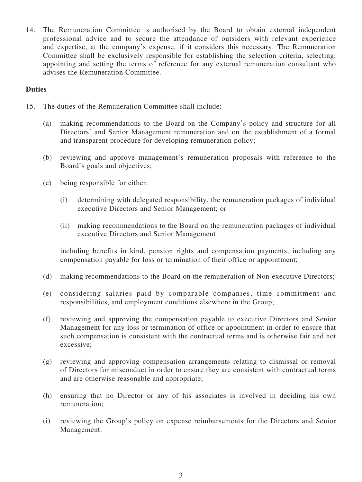14. The Remuneration Committee is authorised by the Board to obtain external independent professional advice and to secure the attendance of outsiders with relevant experience and expertise, at the company's expense, if it considers this necessary. The Remuneration Committee shall be exclusively responsible for establishing the selection criteria, selecting, appointing and setting the terms of reference for any external remuneration consultant who advises the Remuneration Committee.

## **Duties**

- 15. The duties of the Remuneration Committee shall include:
	- (a) making recommendations to the Board on the Company's policy and structure for all Directors' and Senior Management remuneration and on the establishment of a formal and transparent procedure for developing remuneration policy;
	- (b) reviewing and approve management's remuneration proposals with reference to the Board's goals and objectives;
	- (c) being responsible for either:
		- (i) determining with delegated responsibility, the remuneration packages of individual executive Directors and Senior Management; or
		- (ii) making recommendations to the Board on the remuneration packages of individual executive Directors and Senior Management

including benefits in kind, pension rights and compensation payments, including any compensation payable for loss or termination of their office or appointment;

- (d) making recommendations to the Board on the remuneration of Non-executive Directors;
- (e) considering salaries paid by comparable companies, time commitment and responsibilities, and employment conditions elsewhere in the Group;
- (f) reviewing and approving the compensation payable to executive Directors and Senior Management for any loss or termination of office or appointment in order to ensure that such compensation is consistent with the contractual terms and is otherwise fair and not excessive;
- (g) reviewing and approving compensation arrangements relating to dismissal or removal of Directors for misconduct in order to ensure they are consistent with contractual terms and are otherwise reasonable and appropriate;
- (h) ensuring that no Director or any of his associates is involved in deciding his own remuneration;
- (i) reviewing the Group's policy on expense reimbursements for the Directors and Senior Management.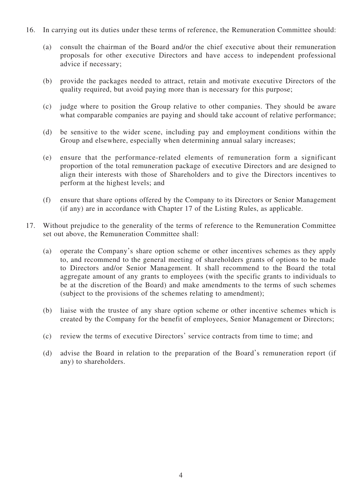- 16. In carrying out its duties under these terms of reference, the Remuneration Committee should:
	- (a) consult the chairman of the Board and/or the chief executive about their remuneration proposals for other executive Directors and have access to independent professional advice if necessary;
	- (b) provide the packages needed to attract, retain and motivate executive Directors of the quality required, but avoid paying more than is necessary for this purpose;
	- (c) judge where to position the Group relative to other companies. They should be aware what comparable companies are paying and should take account of relative performance;
	- (d) be sensitive to the wider scene, including pay and employment conditions within the Group and elsewhere, especially when determining annual salary increases;
	- (e) ensure that the performance-related elements of remuneration form a significant proportion of the total remuneration package of executive Directors and are designed to align their interests with those of Shareholders and to give the Directors incentives to perform at the highest levels; and
	- (f) ensure that share options offered by the Company to its Directors or Senior Management (if any) are in accordance with Chapter 17 of the Listing Rules, as applicable.
- 17. Without prejudice to the generality of the terms of reference to the Remuneration Committee set out above, the Remuneration Committee shall:
	- (a) operate the Company's share option scheme or other incentives schemes as they apply to, and recommend to the general meeting of shareholders grants of options to be made to Directors and/or Senior Management. It shall recommend to the Board the total aggregate amount of any grants to employees (with the specific grants to individuals to be at the discretion of the Board) and make amendments to the terms of such schemes (subject to the provisions of the schemes relating to amendment);
	- (b) liaise with the trustee of any share option scheme or other incentive schemes which is created by the Company for the benefit of employees, Senior Management or Directors;
	- (c) review the terms of executive Directors' service contracts from time to time; and
	- (d) advise the Board in relation to the preparation of the Board's remuneration report (if any) to shareholders.